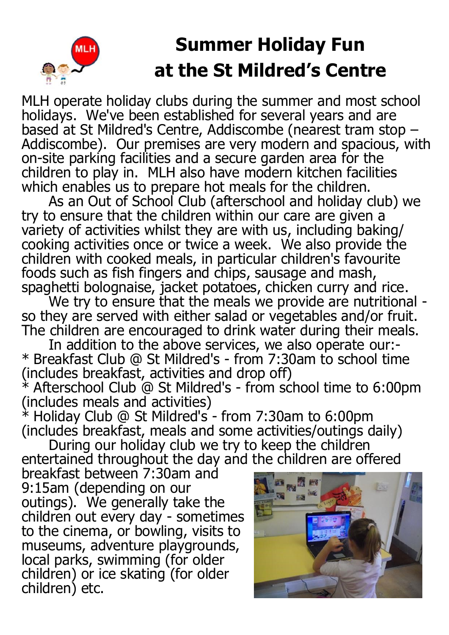## **Summer Holiday Fun at the St Mildred's Centre**

MLH operate holiday clubs during the summer and most school holidays. We've been established for several years and are based at St Mildred's Centre, Addiscombe (nearest tram stop – Addiscombe). Our premises are very modern and spacious, with on-site parking facilities and a secure garden area for the children to play in. MLH also have modern kitchen facilities which enables us to prepare hot meals for the children.

As an Out of School Club (afterschool and holiday club) we try to ensure that the children within our care are given a variety of activities whilst they are with us, including baking/ cooking activities once or twice a week. We also provide the children with cooked meals, in particular children's favourite foods such as fish fingers and chips, sausage and mash, spaghetti bolognaise, jacket potatoes, chicken curry and rice.

We try to ensure that the meals we provide are nutritional so they are served with either salad or vegetables and/or fruit. The children are encouraged to drink water during their meals.

In addition to the above services, we also operate our:-\* Breakfast Club @ St Mildred's - from 7:30am to school time (includes breakfast, activities and drop off)

 $*$  Afterschool Club @ St Mildred's - from school time to 6:00pm (includes meals and activities)

 $*$  Holiday Club @ St Mildred's - from 7:30am to 6:00pm (includes breakfast, meals and some activities/outings daily)

During our holiday club we try to keep the children entertained throughout the day and the children are offered

breakfast between 7:30am and 9:15am (depending on our outings). We generally take the children out every day - sometimes to the cinema, or bowling, visits to museums, adventure playgrounds, local parks, swimming (for older children) or ice skating (for older children) etc.